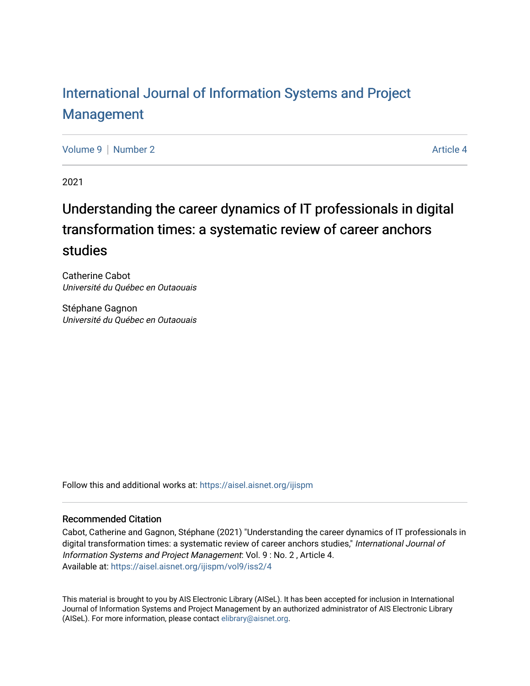## [International Journal of Information Systems and Project](https://aisel.aisnet.org/ijispm)  [Management](https://aisel.aisnet.org/ijispm)

[Volume 9](https://aisel.aisnet.org/ijispm/vol9) | [Number 2](https://aisel.aisnet.org/ijispm/vol9/iss2) Article 4

2021

## Understanding the career dynamics of IT professionals in digital transformation times: a systematic review of career anchors studies

Catherine Cabot Université du Québec en Outaouais

Stéphane Gagnon Université du Québec en Outaouais

Follow this and additional works at: [https://aisel.aisnet.org/ijispm](https://aisel.aisnet.org/ijispm?utm_source=aisel.aisnet.org%2Fijispm%2Fvol9%2Fiss2%2F4&utm_medium=PDF&utm_campaign=PDFCoverPages) 

## Recommended Citation

Cabot, Catherine and Gagnon, Stéphane (2021) "Understanding the career dynamics of IT professionals in digital transformation times: a systematic review of career anchors studies," International Journal of Information Systems and Project Management: Vol. 9 : No. 2 , Article 4. Available at: [https://aisel.aisnet.org/ijispm/vol9/iss2/4](https://aisel.aisnet.org/ijispm/vol9/iss2/4?utm_source=aisel.aisnet.org%2Fijispm%2Fvol9%2Fiss2%2F4&utm_medium=PDF&utm_campaign=PDFCoverPages) 

This material is brought to you by AIS Electronic Library (AISeL). It has been accepted for inclusion in International Journal of Information Systems and Project Management by an authorized administrator of AIS Electronic Library (AISeL). For more information, please contact [elibrary@aisnet.org](mailto:elibrary@aisnet.org%3E).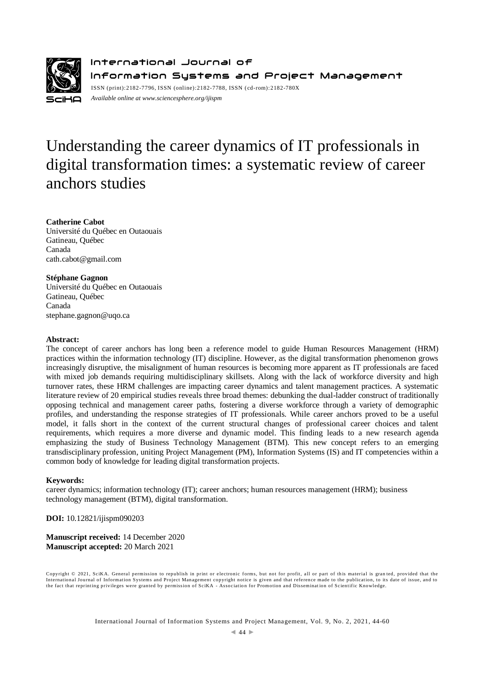

International Journal of Information Systems and Project Management ISSN (print):2182-7796, ISSN (online):2182-7788, ISSN ( cd-rom):2182-780X *Available online a[t www.sciencesphere.org/ijispm](http://www.sciencesphere.org/ijispm)*

# Understanding the career dynamics of IT professionals in digital transformation times: a systematic review of career anchors studies

## **Catherine Cabot**

Université du Québec en Outaouais Gatineau, Québec Canada cath.cabot@gmail.com

## **Stéphane Gagnon**

Université du Québec en Outaouais Gatineau, Québec Canada stephane.gagnon@uqo.ca

## **Abstract:**

The concept of career anchors has long been a reference model to guide Human Resources Management (HRM) practices within the information technology (IT) discipline. However, as the digital transformation phenomenon grows increasingly disruptive, the misalignment of human resources is becoming more apparent as IT professionals are faced with mixed job demands requiring multidisciplinary skillsets. Along with the lack of workforce diversity and high turnover rates, these HRM challenges are impacting career dynamics and talent management practices. A systematic literature review of 20 empirical studies reveals three broad themes: debunking the dual-ladder construct of traditionally opposing technical and management career paths, fostering a diverse workforce through a variety of demographic profiles, and understanding the response strategies of IT professionals. While career anchors proved to be a useful model, it falls short in the context of the current structural changes of professional career choices and talent requirements, which requires a more diverse and dynamic model. This finding leads to a new research agenda emphasizing the study of Business Technology Management (BTM). This new concept refers to an emerging transdisciplinary profession, uniting Project Management (PM), Information Systems (IS) and IT competencies within a common body of knowledge for leading digital transformation projects.

## **Keywords:**

career dynamics; information technology (IT); career anchors; human resources management (HRM); business technology management (BTM), digital transformation.

**DOI:** 10.12821/ijispm090203

**Manuscript received:** 14 December 2020 **Manuscript accepted:** 20 March 2021

Copyright © 2021, SciKA. General permission to republish in print or electronic forms, but not for profit, all or part of this material is granted, provided that the International Journal of Information Systems and Project Management copyright notice is given and that reference made to the publication, to its date of issue, and to<br>the fact that reprinting privileges were granted by per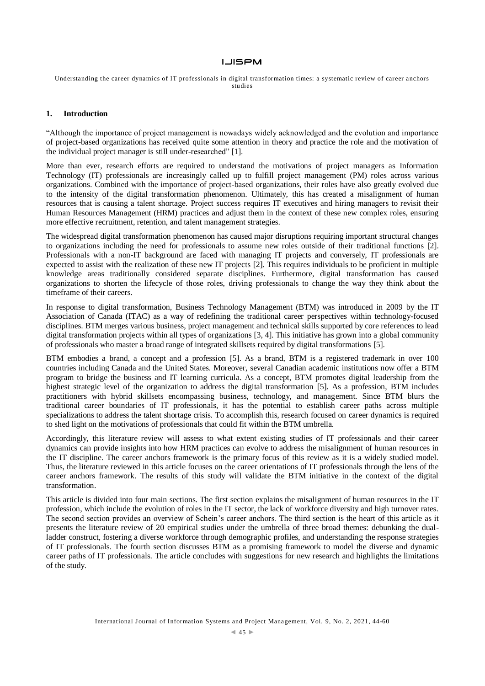Understanding the career dynamics of IT professionals in digital transformation times: a systematic review of career anchors studies

## **1. Introduction**

"Although the importance of project management is nowadays widely acknowledged and the evolution and importance of project-based organizations has received quite some attention in theory and practice the role and the motivation of the individual project manager is still under-researched" [1].

More than ever, research efforts are required to understand the motivations of project managers as Information Technology (IT) professionals are increasingly called up to fulfill project management (PM) roles across various organizations. Combined with the importance of project-based organizations, their roles have also greatly evolved due to the intensity of the digital transformation phenomenon. Ultimately, this has created a misalignment of human resources that is causing a talent shortage. Project success requires IT executives and hiring managers to revisit their Human Resources Management (HRM) practices and adjust them in the context of these new complex roles, ensuring more effective recruitment, retention, and talent management strategies.

The widespread digital transformation phenomenon has caused major disruptions requiring important structural changes to organizations including the need for professionals to assume new roles outside of their traditional functions [2]. Professionals with a non-IT background are faced with managing IT projects and conversely, IT professionals are expected to assist with the realization of these new IT projects [2]. This requires individuals to be proficient in multiple knowledge areas traditionally considered separate disciplines. Furthermore, digital transformation has caused organizations to shorten the lifecycle of those roles, driving professionals to change the way they think about the timeframe of their careers.

In response to digital transformation, Business Technology Management (BTM) was introduced in 2009 by the IT Association of Canada (ITAC) as a way of redefining the traditional career perspectives within technology-focused disciplines. BTM merges various business, project management and technical skills supported by core references to lead digital transformation projects within all types of organizations [3, 4]. This initiative has grown into a global community of professionals who master a broad range of integrated skillsets required by digital transformations [5].

BTM embodies a brand, a concept and a profession [5]. As a brand, BTM is a registered trademark in over 100 countries including Canada and the United States. Moreover, several Canadian academic institutions now offer a BTM program to bridge the business and IT learning curricula. As a concept, BTM promotes digital leadership from the highest strategic level of the organization to address the digital transformation [5]. As a profession, BTM includes practitioners with hybrid skillsets encompassing business, technology, and management. Since BTM blurs the traditional career boundaries of IT professionals, it has the potential to establish career paths across multiple specializations to address the talent shortage crisis. To accomplish this, research focused on career dynamics is required to shed light on the motivations of professionals that could fit within the BTM umbrella.

Accordingly, this literature review will assess to what extent existing studies of IT professionals and their career dynamics can provide insights into how HRM practices can evolve to address the misalignment of human resources in the IT discipline. The career anchors framework is the primary focus of this review as it is a widely studied model. Thus, the literature reviewed in this article focuses on the career orientations of IT professionals through the lens of the career anchors framework. The results of this study will validate the BTM initiative in the context of the digital transformation.

This article is divided into four main sections. The first section explains the misalignment of human resources in the IT profession, which include the evolution of roles in the IT sector, the lack of workforce diversity and high turnover rates. The second section provides an overview of Schein's career anchors. The third section is the heart of this article as it presents the literature review of 20 empirical studies under the umbrella of three broad themes: debunking the dualladder construct, fostering a diverse workforce through demographic profiles, and understanding the response strategies of IT professionals. The fourth section discusses BTM as a promising framework to model the diverse and dynamic career paths of IT professionals. The article concludes with suggestions for new research and highlights the limitations of the study.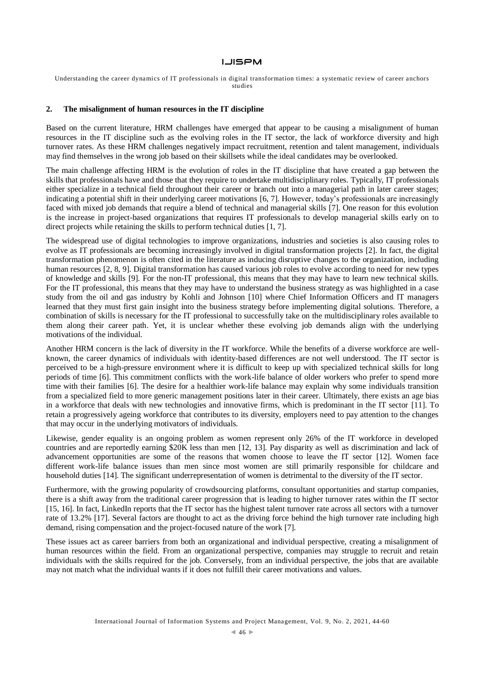Understanding the career dynamics of IT professionals in digital transformation times: a systematic review of career anchors studies

#### **2. The misalignment of human resources in the IT discipline**

Based on the current literature, HRM challenges have emerged that appear to be causing a misalignment of human resources in the IT discipline such as the evolving roles in the IT sector, the lack of workforce diversity and high turnover rates. As these HRM challenges negatively impact recruitment, retention and talent management, individuals may find themselves in the wrong job based on their skillsets while the ideal candidates may be overlooked.

The main challenge affecting HRM is the evolution of roles in the IT discipline that have created a gap between the skills that professionals have and those that they require to undertake multidisciplinary roles. Typically, IT professionals either specialize in a technical field throughout their career or branch out into a managerial path in later career stages; indicating a potential shift in their underlying career motivations [6, 7]. However, today's professionals are increasingly faced with mixed job demands that require a blend of technical and managerial skills [7]. One reason for this evolution is the increase in project-based organizations that requires IT professionals to develop managerial skills early on to direct projects while retaining the skills to perform technical duties [1, 7].

The widespread use of digital technologies to improve organizations, industries and societies is also causing roles to evolve as IT professionals are becoming increasingly involved in digital transformation projects [2]. In fact, the digital transformation phenomenon is often cited in the literature as inducing disruptive changes to the organization, including human resources [2, 8, 9]. Digital transformation has caused various job roles to evolve according to need for new types of knowledge and skills [9]. For the non-IT professional, this means that they may have to learn new technical skills. For the IT professional, this means that they may have to understand the business strategy as was highlighted in a case study from the oil and gas industry by Kohli and Johnson [10] where Chief Information Officers and IT managers learned that they must first gain insight into the business strategy before implementing digital solutions. Therefore, a combination of skills is necessary for the IT professional to successfully take on the multidisciplinary roles available to them along their career path. Yet, it is unclear whether these evolving job demands align with the underlying motivations of the individual.

Another HRM concern is the lack of diversity in the IT workforce. While the benefits of a diverse workforce are wellknown, the career dynamics of individuals with identity-based differences are not well understood. The IT sector is perceived to be a high-pressure environment where it is difficult to keep up with specialized technical skills for long periods of time [6]. This commitment conflicts with the work-life balance of older workers who prefer to spend more time with their families [6]. The desire for a healthier work-life balance may explain why some individuals transition from a specialized field to more generic management positions later in their career. Ultimately, there exists an age bias in a workforce that deals with new technologies and innovative firms, which is predominant in the IT sector [11]. To retain a progressively ageing workforce that contributes to its diversity, employers need to pay attention to the changes that may occur in the underlying motivators of individuals.

Likewise, gender equality is an ongoing problem as women represent only 26% of the IT workforce in developed countries and are reportedly earning \$20K less than men [12, 13]. Pay disparity as well as discrimination and lack of advancement opportunities are some of the reasons that women choose to leave the IT sector [12]. Women face different work-life balance issues than men since most women are still primarily responsible for childcare and household duties [14]. The significant underrepresentation of women is detrimental to the diversity of the IT sector.

Furthermore, with the growing popularity of crowdsourcing platforms, consultant opportunities and startup companies, there is a shift away from the traditional career progression that is leading to higher turnover rates within the IT sector [15, 16]. In fact, LinkedIn reports that the IT sector has the highest talent turnover rate across all sectors with a turnover rate of 13.2% [17]. Several factors are thought to act as the driving force behind the high turnover rate including high demand, rising compensation and the project-focused nature of the work [7].

These issues act as career barriers from both an organizational and individual perspective, creating a misalignment of human resources within the field. From an organizational perspective, companies may struggle to recruit and retain individuals with the skills required for the job. Conversely, from an individual perspective, the jobs that are available may not match what the individual wants if it does not fulfill their career motivations and values.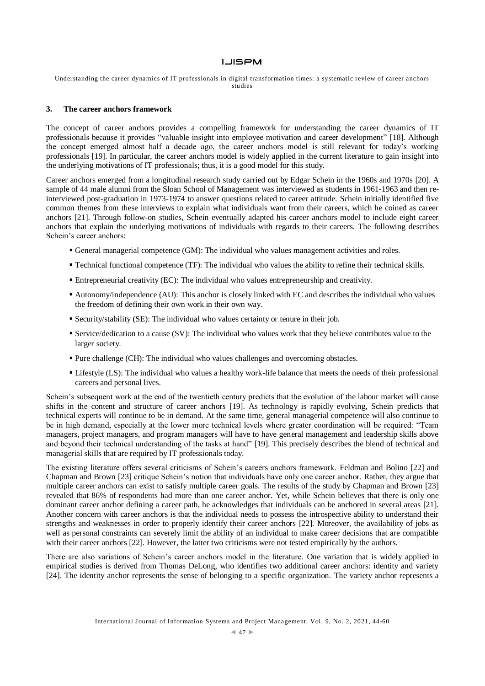Understanding the career dynamics of IT professionals in digital transformation times: a systematic review of career anchors studies

#### **3. The career anchors framework**

The concept of career anchors provides a compelling framework for understanding the career dynamics of IT professionals because it provides "valuable insight into employee motivation and career development" [18]. Although the concept emerged almost half a decade ago, the career anchors model is still relevant for today's working professionals [19]. In particular, the career anchors model is widely applied in the current literature to gain insight into the underlying motivations of IT professionals; thus, it is a good model for this study.

Career anchors emerged from a longitudinal research study carried out by Edgar Schein in the 1960s and 1970s [20]. A sample of 44 male alumni from the Sloan School of Management was interviewed as students in 1961-1963 and then reinterviewed post-graduation in 1973-1974 to answer questions related to career attitude. Schein initially identified five common themes from these interviews to explain what individuals want from their careers, which he coined as career anchors [21]. Through follow-on studies, Schein eventually adapted his career anchors model to include eight career anchors that explain the underlying motivations of individuals with regards to their careers. The following describes Schein's career anchors:

- General managerial competence (GM): The individual who values management activities and roles.
- Technical functional competence (TF): The individual who values the ability to refine their technical skills.
- Entrepreneurial creativity (EC): The individual who values entrepreneurship and creativity.
- Autonomy/independence (AU): This anchor is closely linked with EC and describes the individual who values the freedom of defining their own work in their own way.
- Security/stability (SE): The individual who values certainty or tenure in their job.
- Service/dedication to a cause (SV): The individual who values work that they believe contributes value to the larger society.
- Pure challenge (CH): The individual who values challenges and overcoming obstacles.
- Lifestyle (LS): The individual who values a healthy work-life balance that meets the needs of their professional careers and personal lives.

Schein's subsequent work at the end of the twentieth century predicts that the evolution of the labour market will cause shifts in the content and structure of career anchors [19]. As technology is rapidly evolving, Schein predicts that technical experts will continue to be in demand. At the same time, general managerial competence will also continue to be in high demand, especially at the lower more technical levels where greater coordination will be required: "Team managers, project managers, and program managers will have to have general management and leadership skills above and beyond their technical understanding of the tasks at hand" [19]. This precisely describes the blend of technical and managerial skills that are required by IT professionals today.

The existing literature offers several criticisms of Schein's careers anchors framework. Feldman and Bolino [22] and Chapman and Brown [23] critique Schein's notion that individuals have only one career anchor. Rather, they argue that multiple career anchors can exist to satisfy multiple career goals. The results of the study by Chapman and Brown [23] revealed that 86% of respondents had more than one career anchor. Yet, while Schein believes that there is only one dominant career anchor defining a career path, he acknowledges that individuals can be anchored in several areas [21]. Another concern with career anchors is that the individual needs to possess the introspective ability to understand their strengths and weaknesses in order to properly identify their career anchors [22]. Moreover, the availability of jobs as well as personal constraints can severely limit the ability of an individual to make career decisions that are compatible with their career anchors [22]. However, the latter two criticisms were not tested empirically by the authors.

There are also variations of Schein's career anchors model in the literature. One variation that is widely applied in empirical studies is derived from Thomas DeLong, who identifies two additional career anchors: identity and variety [24]. The identity anchor represents the sense of belonging to a specific organization. The variety anchor represents a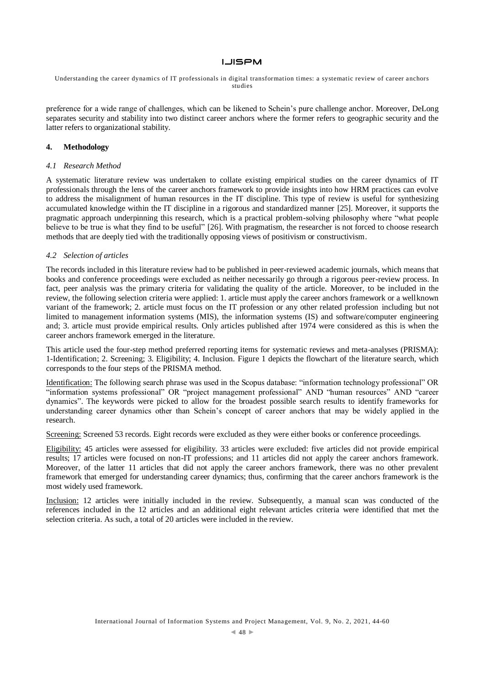Understanding the career dynamics of IT professionals in digital transformation times: a systematic review of career anchors studies

preference for a wide range of challenges, which can be likened to Schein's pure challenge anchor. Moreover, DeLong separates security and stability into two distinct career anchors where the former refers to geographic security and the latter refers to organizational stability.

## **4. Methodology**

## *4.1 Research Method*

A systematic literature review was undertaken to collate existing empirical studies on the career dynamics of IT professionals through the lens of the career anchors framework to provide insights into how HRM practices can evolve to address the misalignment of human resources in the IT discipline. This type of review is useful for synthesizing accumulated knowledge within the IT discipline in a rigorous and standardized manner [25]. Moreover, it supports the pragmatic approach underpinning this research, which is a practical problem-solving philosophy where "what people believe to be true is what they find to be useful" [26]. With pragmatism, the researcher is not forced to choose research methods that are deeply tied with the traditionally opposing views of positivism or constructivism.

#### *4.2 Selection of articles*

The records included in this literature review had to be published in peer-reviewed academic journals, which means that books and conference proceedings were excluded as neither necessarily go through a rigorous peer-review process. In fact, peer analysis was the primary criteria for validating the quality of the article. Moreover, to be included in the review, the following selection criteria were applied: 1. article must apply the career anchors framework or a wellknown variant of the framework; 2. article must focus on the IT profession or any other related profession including but not limited to management information systems (MIS), the information systems (IS) and software/computer engineering and; 3. article must provide empirical results. Only articles published after 1974 were considered as this is when the career anchors framework emerged in the literature.

This article used the four-step method preferred reporting items for systematic reviews and meta-analyses (PRISMA): 1-Identification; 2. Screening; 3. Eligibility; 4. Inclusion. Figure 1 depicts the flowchart of the literature search, which corresponds to the four steps of the PRISMA method.

Identification: The following search phrase was used in the Scopus database: "information technology professional" OR "information systems professional" OR "project management professional" AND "human resources" AND "career dynamics". The keywords were picked to allow for the broadest possible search results to identify frameworks for understanding career dynamics other than Schein's concept of career anchors that may be widely applied in the research.

Screening: Screened 53 records. Eight records were excluded as they were either books or conference proceedings.

Eligibility: 45 articles were assessed for eligibility. 33 articles were excluded: five articles did not provide empirical results; 17 articles were focused on non-IT professions; and 11 articles did not apply the career anchors framework. Moreover, of the latter 11 articles that did not apply the career anchors framework, there was no other prevalent framework that emerged for understanding career dynamics; thus, confirming that the career anchors framework is the most widely used framework.

Inclusion: 12 articles were initially included in the review. Subsequently, a manual scan was conducted of the references included in the 12 articles and an additional eight relevant articles criteria were identified that met the selection criteria. As such, a total of 20 articles were included in the review.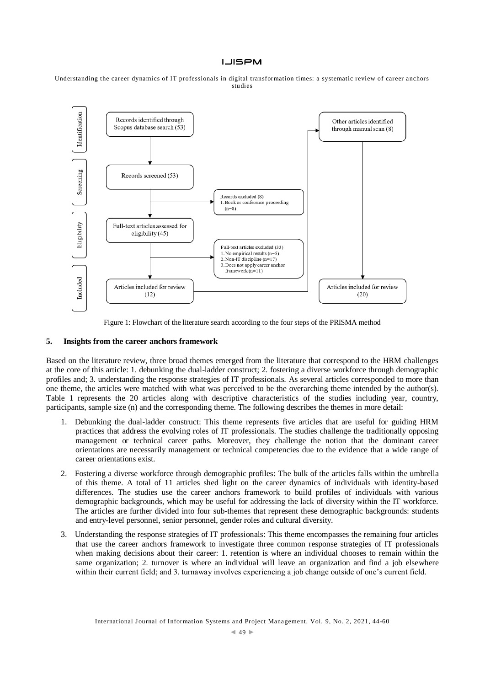Understanding the career dynamics of IT professionals in digital transformation times: a systematic review of career anchors studies



Figure 1: Flowchart of the literature search according to the four steps of the PRISMA method

## **5. Insights from the career anchors framework**

Based on the literature review, three broad themes emerged from the literature that correspond to the HRM challenges at the core of this article: 1. debunking the dual-ladder construct; 2. fostering a diverse workforce through demographic profiles and; 3. understanding the response strategies of IT professionals. As several articles corresponded to more than one theme, the articles were matched with what was perceived to be the overarching theme intended by the author(s). Table 1 represents the 20 articles along with descriptive characteristics of the studies including year, country, participants, sample size (n) and the corresponding theme. The following describes the themes in more detail:

- 1. Debunking the dual-ladder construct: This theme represents five articles that are useful for guiding HRM practices that address the evolving roles of IT professionals. The studies challenge the traditionally opposing management or technical career paths. Moreover, they challenge the notion that the dominant career orientations are necessarily management or technical competencies due to the evidence that a wide range of career orientations exist.
- 2. Fostering a diverse workforce through demographic profiles: The bulk of the articles falls within the umbrella of this theme. A total of 11 articles shed light on the career dynamics of individuals with identity-based differences. The studies use the career anchors framework to build profiles of individuals with various demographic backgrounds, which may be useful for addressing the lack of diversity within the IT workforce. The articles are further divided into four sub-themes that represent these demographic backgrounds: students and entry-level personnel, senior personnel, gender roles and cultural diversity.
- 3. Understanding the response strategies of IT professionals: This theme encompasses the remaining four articles that use the career anchors framework to investigate three common response strategies of IT professionals when making decisions about their career: 1. retention is where an individual chooses to remain within the same organization; 2. turnover is where an individual will leave an organization and find a job elsewhere within their current field; and 3. turnaway involves experiencing a job change outside of one's current field.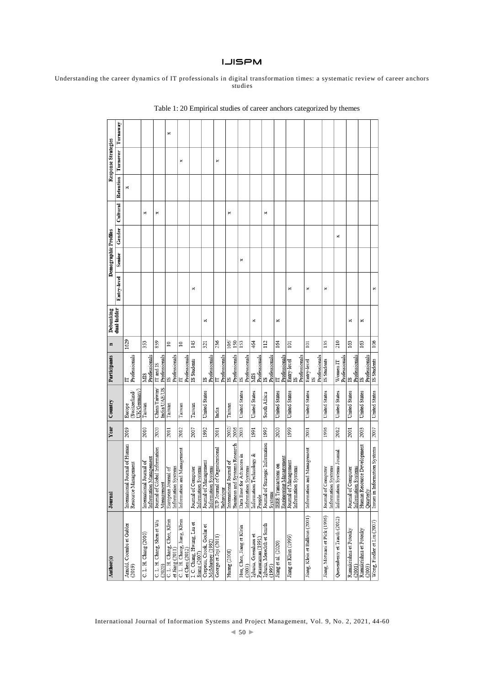Understanding the career dynamics of IT professionals in digital transformation times: a systematic review of career anchors studies

| Author(s)                                      | Journal                                                   | Year          | Country                 | Participants                      | $\blacksquare$ | Debunking   |             | <b>Demographic Profiles</b> |        |          |           | Response Strategies |          |
|------------------------------------------------|-----------------------------------------------------------|---------------|-------------------------|-----------------------------------|----------------|-------------|-------------|-----------------------------|--------|----------|-----------|---------------------|----------|
|                                                |                                                           |               |                         |                                   |                | dual-ladder | Entry-level | Senior                      | Gender | Cultural | Retention | Turnover            | Turnaway |
| Arnold, Coombs et Gubler<br>(2019)             | International Journal of Human<br>Resource Management     | 2019          | (Switzerland/<br>Europe | Professionals<br>Ë                | 1629           |             |             |                             |        |          | ×         |                     |          |
|                                                |                                                           |               | UK/Germany)             |                                   |                |             |             |                             |        |          |           |                     |          |
| C. L. H. Chang (2010)                          | International Journal of                                  | 2010          | Taiwan                  | Professionals<br><b>NIIS</b>      | 353            |             |             |                             |        | ×        |           |                     |          |
|                                                | Journal of Global Information<br>Information Management   | 2020          | China/Taiwan/           | IT and IS                         | 859            |             |             |                             |        |          |           |                     |          |
| C. L. H. Chang, Shen et Wu<br>(2020)           | Management                                                |               | <b>India/UAE/US</b>     | Professionals                     |                |             |             |                             |        | ×        |           |                     |          |
| C. L. H. Chang, Chen, Klein<br>et Jiang (2011) | European Journal of<br>Information Systems                | 2011          | Taiwan                  | Professionals<br>51               | $\approx$      |             |             |                             |        |          |           |                     | ×        |
| C. L. H. Chang, Jiang, Klein<br>et Chen (2012) | Information and Management                                | 2012          | Taiwan                  | Professionals<br>E                | $\approx$      |             |             |                             |        |          |           | ×                   |          |
| I.C. Chang, Hwang, Liu et<br>Siang (2007)      | Information Systems<br>Journal of Computer                | 2007          | Taiwan                  | IS Students                       | 145            |             | ×           |                             |        |          |           |                     |          |
| Crepeau, Crook, Goslar et<br>McMurtrey (1992)  | Journal of Management<br>Information Systems              | 1992          | United States           | IS<br>Professionals               | 321            | ×           |             |                             |        |          |           |                     |          |
| George et Joji (2011)                          | IUP Journal of Organizational<br>Behaviour                | 2011          | India                   | Professionals<br>E                | 236            |             |             |                             |        |          |           | ×                   |          |
| Huang (2008)                                   | Business and Systems Research<br>International Journal of | 2002/<br>2006 | Taiwan                  | Expressionals                     | 106/<br>150    |             |             |                             |        | ×        |           |                     |          |
| Hsu, Chen, Jiang et Klein<br>(2003)            | Data Base for Advances in<br>Information Systems          | 2003          | United States           | IS<br>Professionals               | 153            |             |             | ×                           |        |          |           |                     |          |
| Igbaria, Greenhaus et<br>Parasuraman (1991)    | Information Technology &<br>People                        | 1991          | United States           | Professionals<br><b>NIIS</b>      | 464            | ×           |             |                             |        |          |           |                     |          |
| Igbaria, Meredith et Smith<br>(1995)           | Journal of Strategic Information<br>Systems               | 1995          | South Africa            | Professionals<br>$\overline{15}$  | 112            |             |             |                             |        | ×        |           |                     |          |
| Jiang et al. (2020)                            | Engineering Management<br>IEEE Transactions on            | 2020          | United States           | Professionals<br>E                | 164            | ×           |             |                             |        |          |           |                     |          |
| Jiang et Klein (1999)                          | Journal of Management<br>Information Systems              | 1999          | United States           | Professionals<br>Entry-level<br>Ľ | 101            |             | ×           |                             |        |          |           |                     |          |
| Jiang, Klein et Balloun (2001)                 | Information and Management                                | 2001          | <b>United States</b>    | Professionals<br>Entry-level<br>N | 101            |             | ×           |                             |        |          |           |                     |          |
| Jiang, Motwani et Pick (1996)                  | Information Systems<br>Journal of Computer                | 1996          | <b>United States</b>    | IS Students                       | 135            |             | ×           |                             |        |          |           |                     |          |
| Quesenberry et Trauth (2012)                   | Information Systems Journal                               | 2012          | <b>United States</b>    | Professionals<br>Women IT         | 210            |             |             |                             | ×      |          |           |                     |          |
| Ramakrishna et Potosky<br>(2001)               | Journal of Computer<br>Information Systems                | 2001          | <b>United States</b>    | Professionals<br>Ŋ                | 163            | ×           |             |                             |        |          |           |                     |          |
| Ramakrishna et Potosky<br>(2003)               | Human Resource Development<br>Quarterly                   | 2003          | <b>United States</b>    | Professionals<br>53               | 163            | ×           |             |                             |        |          |           |                     |          |
| Wong, Fiedler et Liu (2007)                    | Issues in Information Systems                             | 2007          | <b>United States</b>    | IS Students                       | 106            |             | ×           |                             |        |          |           |                     |          |

Table 1: 20 Empirical studies of career anchors categorized by themes

International Journal of Information Systems and Project Management, Vol. 9, No. 2, 2021, 44-60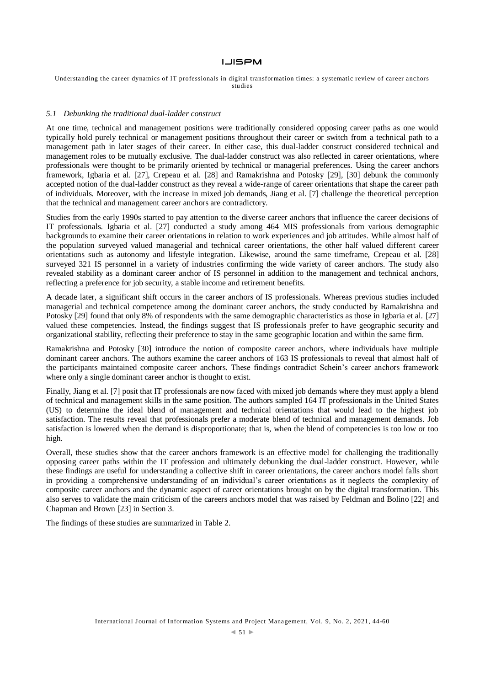Understanding the career dynamics of IT professionals in digital transformation times: a systematic review of career anchors studies

#### *5.1 Debunking the traditional dual-ladder construct*

At one time, technical and management positions were traditionally considered opposing career paths as one would typically hold purely technical or management positions throughout their career or switch from a technical path to a management path in later stages of their career. In either case, this dual-ladder construct considered technical and management roles to be mutually exclusive. The dual-ladder construct was also reflected in career orientations, where professionals were thought to be primarily oriented by technical or managerial preferences. Using the career anchors framework, Igbaria et al. [27], Crepeau et al. [28] and Ramakrishna and Potosky [29], [30] debunk the commonly accepted notion of the dual-ladder construct as they reveal a wide-range of career orientations that shape the career path of individuals. Moreover, with the increase in mixed job demands, Jiang et al. [7] challenge the theoretical perception that the technical and management career anchors are contradictory.

Studies from the early 1990s started to pay attention to the diverse career anchors that influence the career decisions of IT professionals. Igbaria et al. [27] conducted a study among 464 MIS professionals from various demographic backgrounds to examine their career orientations in relation to work experiences and job attitudes. While almost half of the population surveyed valued managerial and technical career orientations, the other half valued different career orientations such as autonomy and lifestyle integration. Likewise, around the same timeframe, Crepeau et al. [28] surveyed 321 IS personnel in a variety of industries confirming the wide variety of career anchors. The study also revealed stability as a dominant career anchor of IS personnel in addition to the management and technical anchors, reflecting a preference for job security, a stable income and retirement benefits.

A decade later, a significant shift occurs in the career anchors of IS professionals. Whereas previous studies included managerial and technical competence among the dominant career anchors, the study conducted by Ramakrishna and Potosky [29] found that only 8% of respondents with the same demographic characteristics as those in Igbaria et al. [27] valued these competencies. Instead, the findings suggest that IS professionals prefer to have geographic security and organizational stability, reflecting their preference to stay in the same geographic location and within the same firm.

Ramakrishna and Potosky [30] introduce the notion of composite career anchors, where individuals have multiple dominant career anchors. The authors examine the career anchors of 163 IS professionals to reveal that almost half of the participants maintained composite career anchors. These findings contradict Schein's career anchors framework where only a single dominant career anchor is thought to exist.

Finally, Jiang et al. [7] posit that IT professionals are now faced with mixed job demands where they must apply a blend of technical and management skills in the same position. The authors sampled 164 IT professionals in the United States (US) to determine the ideal blend of management and technical orientations that would lead to the highest job satisfaction. The results reveal that professionals prefer a moderate blend of technical and management demands. Job satisfaction is lowered when the demand is disproportionate; that is, when the blend of competencies is too low or too high.

Overall, these studies show that the career anchors framework is an effective model for challenging the traditionally opposing career paths within the IT profession and ultimately debunking the dual-ladder construct. However, while these findings are useful for understanding a collective shift in career orientations, the career anchors model falls short in providing a comprehensive understanding of an individual's career orientations as it neglects the complexity of composite career anchors and the dynamic aspect of career orientations brought on by the digital transformation. This also serves to validate the main criticism of the careers anchors model that was raised by Feldman and Bolino [22] and Chapman and Brown [23] in Section 3.

The findings of these studies are summarized in Table 2.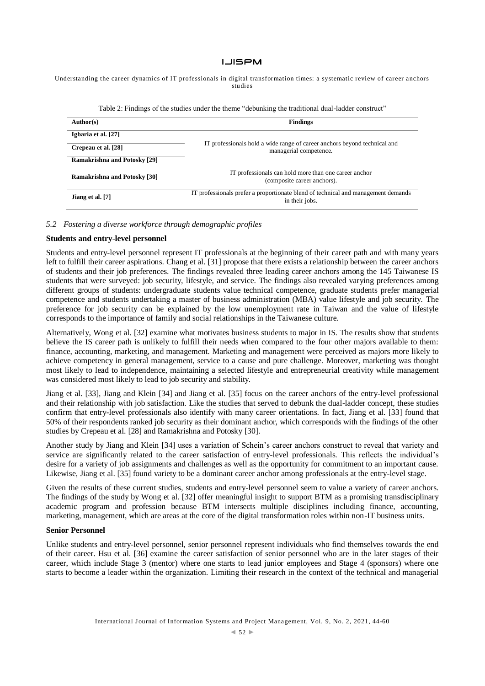Understanding the career dynamics of IT professionals in digital transformation times: a systematic review of career anchors studies

| Twele my construction of the second of the second the secondition of the construction count of construction |                                                                                                     |  |  |
|-------------------------------------------------------------------------------------------------------------|-----------------------------------------------------------------------------------------------------|--|--|
| Author(s)                                                                                                   | <b>Findings</b>                                                                                     |  |  |
| Igbaria et al. [27]                                                                                         |                                                                                                     |  |  |
| Crepeau et al. [28]                                                                                         | IT professionals hold a wide range of career anchors beyond technical and<br>managerial competence. |  |  |
| <b>Ramakrishna and Potosky [29]</b>                                                                         |                                                                                                     |  |  |
|                                                                                                             | IT professionals can hold more than one career anchor                                               |  |  |
| <b>Ramakrishna and Potosky [30]</b>                                                                         | (composite career anchors).                                                                         |  |  |
| Jiang et al. [7]                                                                                            | IT professionals prefer a proportionate blend of technical and management demands<br>in their jobs. |  |  |
|                                                                                                             |                                                                                                     |  |  |

Table 2: Findings of the studies under the theme "debunking the traditional dual-ladder construct"

### *5.2 Fostering a diverse workforce through demographic profiles*

## **Students and entry-level personnel**

Students and entry-level personnel represent IT professionals at the beginning of their career path and with many years left to fulfill their career aspirations. Chang et al. [31] propose that there exists a relationship between the career anchors of students and their job preferences. The findings revealed three leading career anchors among the 145 Taiwanese IS students that were surveyed: job security, lifestyle, and service. The findings also revealed varying preferences among different groups of students: undergraduate students value technical competence, graduate students prefer managerial competence and students undertaking a master of business administration (MBA) value lifestyle and job security. The preference for job security can be explained by the low unemployment rate in Taiwan and the value of lifestyle corresponds to the importance of family and social relationships in the Taiwanese culture.

Alternatively, Wong et al. [32] examine what motivates business students to major in IS. The results show that students believe the IS career path is unlikely to fulfill their needs when compared to the four other majors available to them: finance, accounting, marketing, and management. Marketing and management were perceived as majors more likely to achieve competency in general management, service to a cause and pure challenge. Moreover, marketing was thought most likely to lead to independence, maintaining a selected lifestyle and entrepreneurial creativity while management was considered most likely to lead to job security and stability.

Jiang et al. [33], Jiang and Klein [34] and Jiang et al. [35] focus on the career anchors of the entry-level professional and their relationship with job satisfaction. Like the studies that served to debunk the dual-ladder concept, these studies confirm that entry-level professionals also identify with many career orientations. In fact, Jiang et al. [33] found that 50% of their respondents ranked job security as their dominant anchor, which corresponds with the findings of the other studies by Crepeau et al. [28] and Ramakrishna and Potosky [30].

Another study by Jiang and Klein [34] uses a variation of Schein's career anchors construct to reveal that variety and service are significantly related to the career satisfaction of entry-level professionals. This reflects the individual's desire for a variety of job assignments and challenges as well as the opportunity for commitment to an important cause. Likewise, Jiang et al. [35] found variety to be a dominant career anchor among professionals at the entry-level stage.

Given the results of these current studies, students and entry-level personnel seem to value a variety of career anchors. The findings of the study by Wong et al. [32] offer meaningful insight to support BTM as a promising transdisciplinary academic program and profession because BTM intersects multiple disciplines including finance, accounting, marketing, management, which are areas at the core of the digital transformation roles within non-IT business units.

## **Senior Personnel**

Unlike students and entry-level personnel, senior personnel represent individuals who find themselves towards the end of their career. Hsu et al. [36] examine the career satisfaction of senior personnel who are in the later stages of their career, which include Stage 3 (mentor) where one starts to lead junior employees and Stage 4 (sponsors) where one starts to become a leader within the organization. Limiting their research in the context of the technical and managerial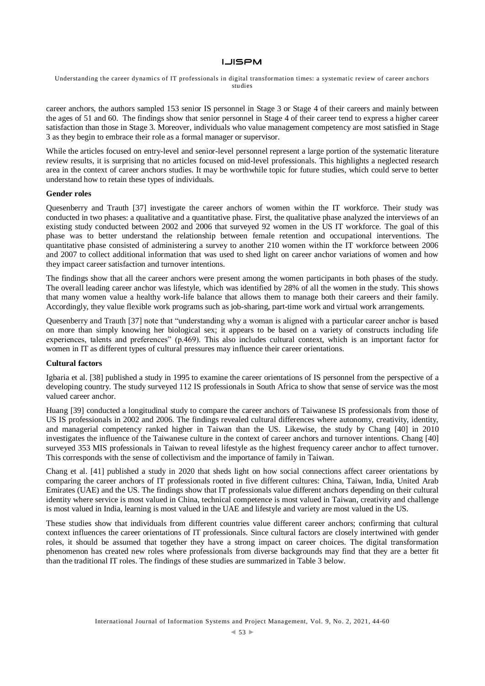Understanding the career dynamics of IT professionals in digital transformation times: a systematic review of career anchors studies

career anchors, the authors sampled 153 senior IS personnel in Stage 3 or Stage 4 of their careers and mainly between the ages of 51 and 60. The findings show that senior personnel in Stage 4 of their career tend to express a higher career satisfaction than those in Stage 3. Moreover, individuals who value management competency are most satisfied in Stage 3 as they begin to embrace their role as a formal manager or supervisor.

While the articles focused on entry-level and senior-level personnel represent a large portion of the systematic literature review results, it is surprising that no articles focused on mid-level professionals. This highlights a neglected research area in the context of career anchors studies. It may be worthwhile topic for future studies, which could serve to better understand how to retain these types of individuals.

#### **Gender roles**

Quesenberry and Trauth [37] investigate the career anchors of women within the IT workforce. Their study was conducted in two phases: a qualitative and a quantitative phase. First, the qualitative phase analyzed the interviews of an existing study conducted between 2002 and 2006 that surveyed 92 women in the US IT workforce. The goal of this phase was to better understand the relationship between female retention and occupational interventions. The quantitative phase consisted of administering a survey to another 210 women within the IT workforce between 2006 and 2007 to collect additional information that was used to shed light on career anchor variations of women and how they impact career satisfaction and turnover intentions.

The findings show that all the career anchors were present among the women participants in both phases of the study. The overall leading career anchor was lifestyle, which was identified by 28% of all the women in the study. This shows that many women value a healthy work-life balance that allows them to manage both their careers and their family. Accordingly, they value flexible work programs such as job-sharing, part-time work and virtual work arrangements.

Quesenberry and Trauth [37] note that "understanding why a woman is aligned with a particular career anchor is based on more than simply knowing her biological sex; it appears to be based on a variety of constructs including life experiences, talents and preferences" (p.469). This also includes cultural context, which is an important factor for women in IT as different types of cultural pressures may influence their career orientations.

## **Cultural factors**

Igbaria et al. [38] published a study in 1995 to examine the career orientations of IS personnel from the perspective of a developing country. The study surveyed 112 IS professionals in South Africa to show that sense of service was the most valued career anchor.

Huang [39] conducted a longitudinal study to compare the career anchors of Taiwanese IS professionals from those of US IS professionals in 2002 and 2006. The findings revealed cultural differences where autonomy, creativity, identity, and managerial competency ranked higher in Taiwan than the US. Likewise, the study by Chang [40] in 2010 investigates the influence of the Taiwanese culture in the context of career anchors and turnover intentions. Chang [40] surveyed 353 MIS professionals in Taiwan to reveal lifestyle as the highest frequency career anchor to affect turnover. This corresponds with the sense of collectivism and the importance of family in Taiwan.

Chang et al. [41] published a study in 2020 that sheds light on how social connections affect career orientations by comparing the career anchors of IT professionals rooted in five different cultures: China, Taiwan, India, United Arab Emirates (UAE) and the US. The findings show that IT professionals value different anchors depending on their cultural identity where service is most valued in China, technical competence is most valued in Taiwan, creativity and challenge is most valued in India, learning is most valued in the UAE and lifestyle and variety are most valued in the US.

These studies show that individuals from different countries value different career anchors; confirming that cultural context influences the career orientations of IT professionals. Since cultural factors are closely intertwined with gender roles, it should be assumed that together they have a strong impact on career choices. The digital transformation phenomenon has created new roles where professionals from diverse backgrounds may find that they are a better fit than the traditional IT roles. The findings of these studies are summarized in Table 3 below.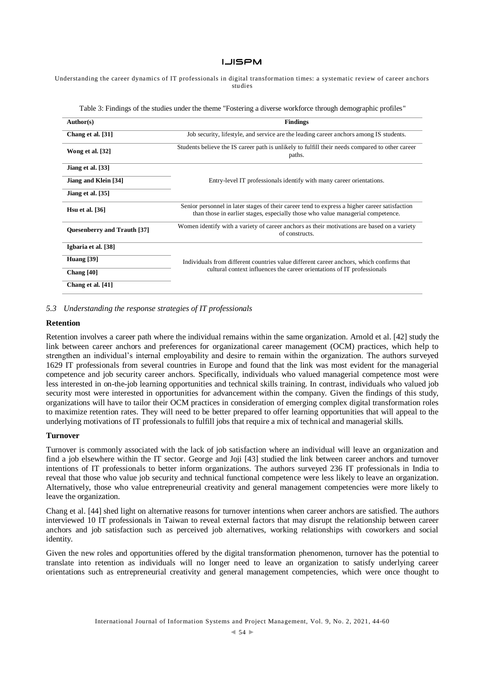Understanding the career dynamics of IT professionals in digital transformation times: a systematic review of career anchors studies

| Author(s)                   | <b>Findings</b>                                                                                                                                                                  |  |  |  |
|-----------------------------|----------------------------------------------------------------------------------------------------------------------------------------------------------------------------------|--|--|--|
| Chang et al. [31]           | Job security, lifestyle, and service are the leading career anchors among IS students.                                                                                           |  |  |  |
| Wong et al. [32]            | Students believe the IS career path is unlikely to fulfill their needs compared to other career<br>paths.                                                                        |  |  |  |
| Jiang et al. [33]           |                                                                                                                                                                                  |  |  |  |
| Jiang and Klein [34]        | Entry-level IT professionals identify with many career orientations.                                                                                                             |  |  |  |
| Jiang et al. [35]           |                                                                                                                                                                                  |  |  |  |
| Hsu et al. $[36]$           | Senior personnel in later stages of their career tend to express a higher career satisfaction<br>than those in earlier stages, especially those who value managerial competence. |  |  |  |
| Quesenberry and Trauth [37] | Women identify with a variety of career anchors as their motivations are based on a variety<br>of constructs.                                                                    |  |  |  |
| Igbaria et al. [38]         |                                                                                                                                                                                  |  |  |  |
| Huang $[39]$                | Individuals from different countries value different career anchors, which confirms that                                                                                         |  |  |  |
| Chang $[40]$                | cultural context influences the career orientations of IT professionals                                                                                                          |  |  |  |
| Chang et al. [41]           |                                                                                                                                                                                  |  |  |  |

Table 3: Findings of the studies under the theme "Fostering a diverse workforce through demographic profiles"

#### *5.3 Understanding the response strategies of IT professionals*

#### **Retention**

Retention involves a career path where the individual remains within the same organization. Arnold et al. [42] study the link between career anchors and preferences for organizational career management (OCM) practices, which help to strengthen an individual's internal employability and desire to remain within the organization. The authors surveyed 1629 IT professionals from several countries in Europe and found that the link was most evident for the managerial competence and job security career anchors. Specifically, individuals who valued managerial competence most were less interested in on-the-job learning opportunities and technical skills training. In contrast, individuals who valued job security most were interested in opportunities for advancement within the company. Given the findings of this study, organizations will have to tailor their OCM practices in consideration of emerging complex digital transformation roles to maximize retention rates. They will need to be better prepared to offer learning opportunities that will appeal to the underlying motivations of IT professionals to fulfill jobs that require a mix of technical and managerial skills.

#### **Turnover**

Turnover is commonly associated with the lack of job satisfaction where an individual will leave an organization and find a job elsewhere within the IT sector. George and Joji [43] studied the link between career anchors and turnover intentions of IT professionals to better inform organizations. The authors surveyed 236 IT professionals in India to reveal that those who value job security and technical functional competence were less likely to leave an organization. Alternatively, those who value entrepreneurial creativity and general management competencies were more likely to leave the organization.

Chang et al. [44] shed light on alternative reasons for turnover intentions when career anchors are satisfied. The authors interviewed 10 IT professionals in Taiwan to reveal external factors that may disrupt the relationship between career anchors and job satisfaction such as perceived job alternatives, working relationships with coworkers and social identity.

Given the new roles and opportunities offered by the digital transformation phenomenon, turnover has the potential to translate into retention as individuals will no longer need to leave an organization to satisfy underlying career orientations such as entrepreneurial creativity and general management competencies, which were once thought to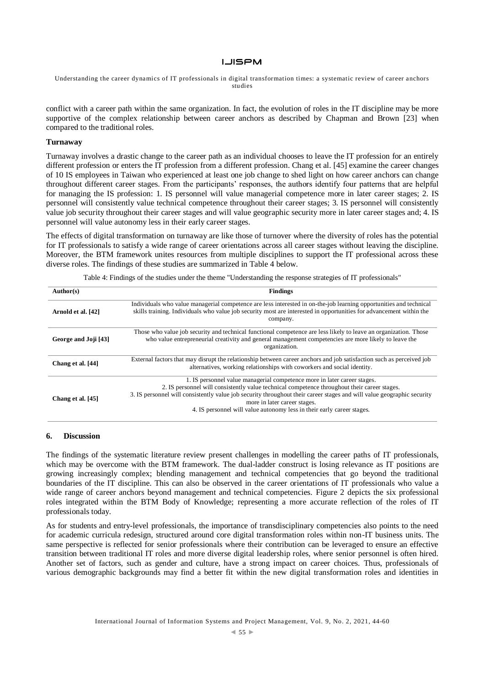Understanding the career dynamics of IT professionals in digital transformation times: a systematic review of career anchors studies

conflict with a career path within the same organization. In fact, the evolution of roles in the IT discipline may be more supportive of the complex relationship between career anchors as described by Chapman and Brown [23] when compared to the traditional roles.

## **Turnaway**

Turnaway involves a drastic change to the career path as an individual chooses to leave the IT profession for an entirely different profession or enters the IT profession from a different profession. Chang et al. [45] examine the career changes of 10 IS employees in Taiwan who experienced at least one job change to shed light on how career anchors can change throughout different career stages. From the participants' responses, the authors identify four patterns that are helpful for managing the IS profession: 1. IS personnel will value managerial competence more in later career stages; 2. IS personnel will consistently value technical competence throughout their career stages; 3. IS personnel will consistently value job security throughout their career stages and will value geographic security more in later career stages and; 4. IS personnel will value autonomy less in their early career stages.

The effects of digital transformation on turnaway are like those of turnover where the diversity of roles has the potential for IT professionals to satisfy a wide range of career orientations across all career stages without leaving the discipline. Moreover, the BTM framework unites resources from multiple disciplines to support the IT professional across these diverse roles. The findings of these studies are summarized in Table 4 below.

Table 4: Findings of the studies under the theme "Understanding the response strategies of IT professionals"

| Author(s)            | <b>Findings</b>                                                                                                                                                                                                                                                                                                                                                                                              |  |  |
|----------------------|--------------------------------------------------------------------------------------------------------------------------------------------------------------------------------------------------------------------------------------------------------------------------------------------------------------------------------------------------------------------------------------------------------------|--|--|
| Arnold et al. [42]   | Individuals who value managerial competence are less interested in on-the-job learning opportunities and technical<br>skills training. Individuals who value job security most are interested in opportunities for advancement within the<br>company.                                                                                                                                                        |  |  |
| George and Joji [43] | Those who value job security and technical functional competence are less likely to leave an organization. Those<br>who value entrepreneurial creativity and general management competencies are more likely to leave the<br>organization.                                                                                                                                                                   |  |  |
| Chang et al. [44]    | External factors that may disrupt the relationship between career anchors and job satisfaction such as perceived job<br>alternatives, working relationships with coworkers and social identity.                                                                                                                                                                                                              |  |  |
| Chang et al. [45]    | 1. IS personnel value managerial competence more in later career stages.<br>2. IS personnel will consistently value technical competence throughout their career stages.<br>3. IS personnel will consistently value job security throughout their career stages and will value geographic security<br>more in later career stages.<br>4. IS personnel will value autonomy less in their early career stages. |  |  |

## **6. Discussion**

The findings of the systematic literature review present challenges in modelling the career paths of IT professionals, which may be overcome with the BTM framework. The dual-ladder construct is losing relevance as IT positions are growing increasingly complex; blending management and technical competencies that go beyond the traditional boundaries of the IT discipline. This can also be observed in the career orientations of IT professionals who value a wide range of career anchors beyond management and technical competencies. Figure 2 depicts the six professional roles integrated within the BTM Body of Knowledge; representing a more accurate reflection of the roles of IT professionals today.

As for students and entry-level professionals, the importance of transdisciplinary competencies also points to the need for academic curricula redesign, structured around core digital transformation roles within non-IT business units. The same perspective is reflected for senior professionals where their contribution can be leveraged to ensure an effective transition between traditional IT roles and more diverse digital leadership roles, where senior personnel is often hired. Another set of factors, such as gender and culture, have a strong impact on career choices. Thus, professionals of various demographic backgrounds may find a better fit within the new digital transformation roles and identities in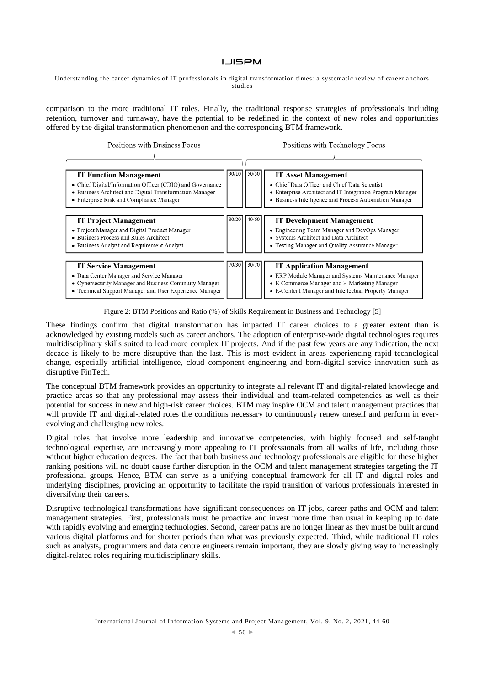Understanding the career dynamics of IT professionals in digital transformation times: a systematic review of career anchors studies

comparison to the more traditional IT roles. Finally, the traditional response strategies of professionals including retention, turnover and turnaway, have the potential to be redefined in the context of new roles and opportunities offered by the digital transformation phenomenon and the corresponding BTM framework.

> Positions with Business Focus  $\overline{1}$

Positions with Technology Focus  $\mathbf{I}$ 

| <b>IT Function Management</b><br>• Chief Digital/Information Officer (CDIO) and Governance<br>• Business Architect and Digital Transformation Manager<br>• Enterprise Risk and Compliance Manager |       | $90/10$   $50/50$ | <b>IT Asset Management</b><br>• Chief Data Officer and Chief Data Scientist<br>• Enterprise Architect and IT Integration Program Manager<br>• Business Intelligence and Process Automation Manager |
|---------------------------------------------------------------------------------------------------------------------------------------------------------------------------------------------------|-------|-------------------|----------------------------------------------------------------------------------------------------------------------------------------------------------------------------------------------------|
| <b>IT Project Management</b><br>• Project Manager and Digital Product Manager<br>• Business Process and Rules Architect<br>• Business Analyst and Requirement Analyst                             | 80/20 | 140/60            | <b>IT Development Management</b><br>• Engineering Team Manager and DevOps Manager<br>• Systems Architect and Data Architect<br>• Testing Manager and Quality Assurance Manager                     |
| <b>IT Service Management</b><br>• Data Center Manager and Service Manager<br>• Cybersecurity Manager and Business Continuity Manager<br>• Technical Support Manager and User Experience Manager   |       | 70/30 30/70       | <b>IT Application Management</b><br>• ERP Module Manager and Systems Maintenance Manager<br>• E-Commerce Manager and E-Marketing Manager<br>• E-Content Manager and Intellectual Property Manager  |

Figure 2: BTM Positions and Ratio (%) of Skills Requirement in Business and Technology [5]

These findings confirm that digital transformation has impacted IT career choices to a greater extent than is acknowledged by existing models such as career anchors. The adoption of enterprise-wide digital technologies requires multidisciplinary skills suited to lead more complex IT projects. And if the past few years are any indication, the next decade is likely to be more disruptive than the last. This is most evident in areas experiencing rapid technological change, especially artificial intelligence, cloud component engineering and born-digital service innovation such as disruptive FinTech.

The conceptual BTM framework provides an opportunity to integrate all relevant IT and digital-related knowledge and practice areas so that any professional may assess their individual and team-related competencies as well as their potential for success in new and high-risk career choices. BTM may inspire OCM and talent management practices that will provide IT and digital-related roles the conditions necessary to continuously renew oneself and perform in everevolving and challenging new roles.

Digital roles that involve more leadership and innovative competencies, with highly focused and self-taught technological expertise, are increasingly more appealing to IT professionals from all walks of life, including those without higher education degrees. The fact that both business and technology professionals are eligible for these higher ranking positions will no doubt cause further disruption in the OCM and talent management strategies targeting the IT professional groups. Hence, BTM can serve as a unifying conceptual framework for all IT and digital roles and underlying disciplines, providing an opportunity to facilitate the rapid transition of various professionals interested in diversifying their careers.

Disruptive technological transformations have significant consequences on IT jobs, career paths and OCM and talent management strategies. First, professionals must be proactive and invest more time than usual in keeping up to date with rapidly evolving and emerging technologies. Second, career paths are no longer linear as they must be built around various digital platforms and for shorter periods than what was previously expected. Third, while traditional IT roles such as analysts, programmers and data centre engineers remain important, they are slowly giving way to increasingly digital-related roles requiring multidisciplinary skills.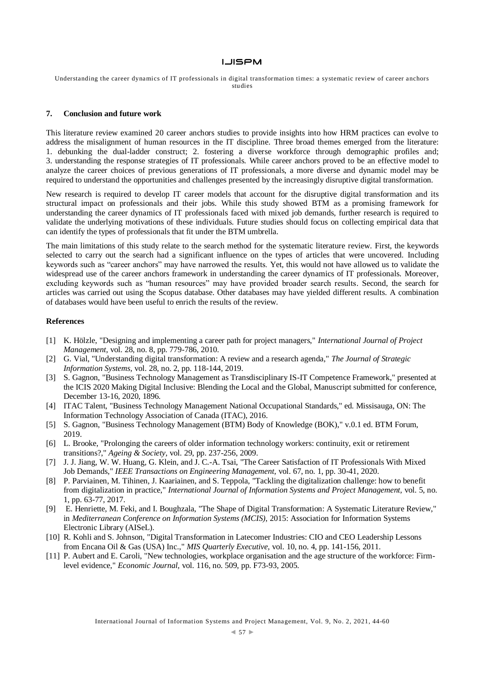Understanding the career dynamics of IT professionals in digital transformation times: a systematic review of career anchors studies

## **7. Conclusion and future work**

This literature review examined 20 career anchors studies to provide insights into how HRM practices can evolve to address the misalignment of human resources in the IT discipline. Three broad themes emerged from the literature: 1. debunking the dual-ladder construct; 2. fostering a diverse workforce through demographic profiles and; 3. understanding the response strategies of IT professionals. While career anchors proved to be an effective model to analyze the career choices of previous generations of IT professionals, a more diverse and dynamic model may be required to understand the opportunities and challenges presented by the increasingly disruptive digital transformation.

New research is required to develop IT career models that account for the disruptive digital transformation and its structural impact on professionals and their jobs. While this study showed BTM as a promising framework for understanding the career dynamics of IT professionals faced with mixed job demands, further research is required to validate the underlying motivations of these individuals. Future studies should focus on collecting empirical data that can identify the types of professionals that fit under the BTM umbrella.

The main limitations of this study relate to the search method for the systematic literature review. First, the keywords selected to carry out the search had a significant influence on the types of articles that were uncovered. Including keywords such as "career anchors" may have narrowed the results. Yet, this would not have allowed us to validate the widespread use of the career anchors framework in understanding the career dynamics of IT professionals. Moreover, excluding keywords such as "human resources" may have provided broader search results. Second, the search for articles was carried out using the Scopus database. Other databases may have yielded different results. A combination of databases would have been useful to enrich the results of the review.

#### **References**

- [1] K. Hölzle, "Designing and implementing a career path for project managers," *International Journal of Project Management,* vol. 28, no. 8, pp. 779-786, 2010.
- [2] G. Vial, "Understanding digital transformation: A review and a research agenda," *The Journal of Strategic Information Systems,* vol. 28, no. 2, pp. 118-144, 2019.
- [3] S. Gagnon, "Business Technology Management as Transdisciplinary IS-IT Competence Framework," presented at the ICIS 2020 Making Digital Inclusive: Blending the Local and the Global, Manuscript submitted for conference, December 13-16, 2020, 1896.
- [4] ITAC Talent, "Business Technology Management National Occupational Standards," ed. Missisauga, ON: The Information Technology Association of Canada (ITAC), 2016.
- [5] S. Gagnon, "Business Technology Management (BTM) Body of Knowledge (BOK)," v.0.1 ed. BTM Forum, 2019.
- [6] L. Brooke, "Prolonging the careers of older information technology workers: continuity, exit or retirement transitions?," *Ageing & Society,* vol. 29, pp. 237-256, 2009.
- [7] J. J. Jiang, W. W. Huang, G. Klein, and J. C.-A. Tsai, "The Career Satisfaction of IT Professionals With Mixed Job Demands," *IEEE Transactions on Engineering Management,* vol. 67, no. 1, pp. 30-41, 2020.
- [8] P. Parviainen, M. Tihinen, J. Kaariainen, and S. Teppola, "Tackling the digitalization challenge: how to benefit from digitalization in practice," *International Journal of Information Systems and Project Management,* vol. 5, no. 1, pp. 63-77, 2017.
- [9] E. Henriette, M. Feki, and I. Boughzala, "The Shape of Digital Transformation: A Systematic Literature Review," in *Mediterranean Conference on Information Systems (MCIS)*, 2015: Association for Information Systems Electronic Library (AISeL).
- [10] R. Kohli and S. Johnson, "Digital Transformation in Latecomer Industries: CIO and CEO Leadership Lessons from Encana Oil & Gas (USA) Inc.," *MIS Quarterly Executive,* vol. 10, no. 4, pp. 141-156, 2011.
- [11] P. Aubert and E. Caroli, "New technologies, workplace organisation and the age structure of the workforce: Firmlevel evidence," *Economic Journal,* vol. 116, no. 509, pp. F73-93, 2005.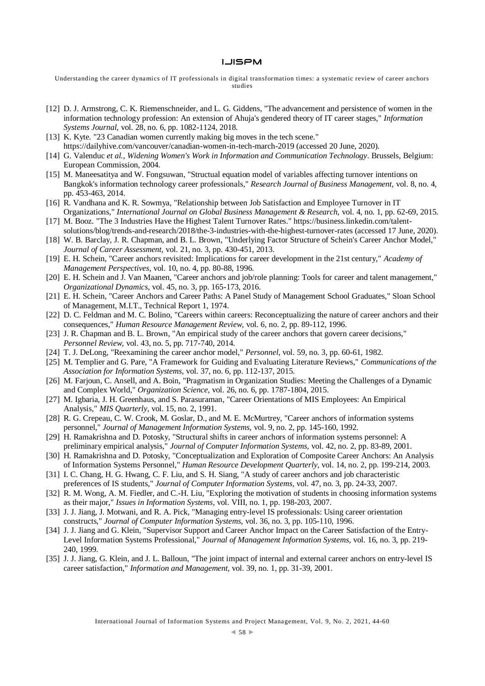Understanding the career dynamics of IT professionals in digital transformation times: a systematic review of career anchors studies

- [12] D. J. Armstrong, C. K. Riemenschneider, and L. G. Giddens, "The advancement and persistence of women in the information technology profession: An extension of Ahuja's gendered theory of IT career stages," *Information Systems Journal,* vol. 28, no. 6, pp. 1082-1124, 2018.
- [13] K. Kyte. "23 Canadian women currently making big moves in the tech scene." <https://dailyhive.com/vancouver/canadian-women-in-tech-march-2019> (accessed 20 June, 2020).
- [14] G. Valenduc *et al.*, *Widening Women's Work in Information and Communication Technology*. Brussels, Belgium: European Commission, 2004.
- [15] M. Maneesatitya and W. Fongsuwan, "Structual equation model of variables affecting turnover intentions on Bangkok's information technology career professionals," *Research Journal of Business Management,* vol. 8, no. 4, pp. 453-463, 2014.
- [16] R. Vandhana and K. R. Sowmya, "Relationship between Job Satisfaction and Employee Turnover in IT Organizations," *International Journal on Global Business Management & Research,* vol. 4, no. 1, pp. 62-69, 2015.
- [17] M. Booz. "The 3 Industries Have the Highest Talent Turnover Rates.[" https://business.linkedin.com/talent](https://business.linkedin.com/talent-solutions/blog/trends-and-research/2018/the-3-industries-with-the-highest-turnover-rates)[solutions/blog/trends-and-research/2018/the-3-industries-with-the-highest-turnover-rates](https://business.linkedin.com/talent-solutions/blog/trends-and-research/2018/the-3-industries-with-the-highest-turnover-rates) (accessed 17 June, 2020).
- [18] W. B. Barclay, J. R. Chapman, and B. L. Brown, "Underlying Factor Structure of Schein's Career Anchor Model," *Journal of Career Assessment,* vol. 21, no. 3, pp. 430-451, 2013.
- [19] E. H. Schein, "Career anchors revisited: Implications for career development in the 21st century," *Academy of Management Perspectives,* vol. 10, no. 4, pp. 80-88, 1996.
- [20] E. H. Schein and J. Van Maanen, "Career anchors and job/role planning: Tools for career and talent management," *Organizational Dynamics,* vol. 45, no. 3, pp. 165-173, 2016.
- [21] E. H. Schein, "Career Anchors and Career Paths: A Panel Study of Management School Graduates," Sloan School of Management, M.I.T., Technical Report 1, 1974.
- [22] D. C. Feldman and M. C. Bolino, "Careers within careers: Reconceptualizing the nature of career anchors and their consequences," *Human Resource Management Review,* vol. 6, no. 2, pp. 89-112, 1996.
- [23] J. R. Chapman and B. L. Brown, "An empirical study of the career anchors that govern career decisions," *Personnel Review,* vol. 43, no. 5, pp. 717-740, 2014.
- [24] T. J. DeLong, "Reexamining the career anchor model," *Personnel,* vol. 59, no. 3, pp. 60-61, 1982.
- [25] M. Templier and G. Pare, "A Framework for Guiding and Evaluating Literature Reviews," *Communications of the Association for Information Systems,* vol. 37, no. 6, pp. 112-137, 2015.
- [26] M. Farjoun, C. Ansell, and A. Boin, "Pragmatism in Organization Studies: Meeting the Challenges of a Dynamic and Complex World," *Organization Science,* vol. 26, no. 6, pp. 1787-1804, 2015.
- [27] M. Igbaria, J. H. Greenhaus, and S. Parasuraman, "Career Orientations of MIS Employees: An Empirical Analysis," *MIS Quarterly,* vol. 15, no. 2, 1991.
- [28] R. G. Crepeau, C. W. Crook, M. Goslar, D., and M. E. McMurtrey, "Career anchors of information systems personnel," *Journal of Management Information Systems,* vol. 9, no. 2, pp. 145-160, 1992.
- [29] H. Ramakrishna and D. Potosky, "Structural shifts in career anchors of information systems personnel: A preliminary empirical analysis," *Journal of Computer Information Systems,* vol. 42, no. 2, pp. 83-89, 2001.
- [30] H. Ramakrishna and D. Potosky, "Conceptualization and Exploration of Composite Career Anchors: An Analysis of Information Systems Personnel," *Human Resource Development Quarterly,* vol. 14, no. 2, pp. 199-214, 2003.
- [31] I. C. Chang, H. G. Hwang, C. F. Liu, and S. H. Siang, "A study of career anchors and job characteristic preferences of IS students," *Journal of Computer Information Systems,* vol. 47, no. 3, pp. 24-33, 2007.
- [32] R. M. Wong, A. M. Fiedler, and C.-H. Liu, "Exploring the motivation of students in choosing information systems as their major," *Issues in Information Systems,* vol. VIII, no. 1, pp. 198-203, 2007.
- [33] J. J. Jiang, J. Motwani, and R. A. Pick, "Managing entry-level IS professionals: Using career orientation constructs," *Journal of Computer Information Systems,* vol. 36, no. 3, pp. 105-110, 1996.
- [34] J. J. Jiang and G. Klein, "Supervisor Support and Career Anchor Impact on the Career Satisfaction of the Entry-Level Information Systems Professional," *Journal of Management Information Systems,* vol. 16, no. 3, pp. 219- 240, 1999.
- [35] J. J. Jiang, G. Klein, and J. L. Balloun, "The joint impact of internal and external career anchors on entry-level IS career satisfaction," *Information and Management,* vol. 39, no. 1, pp. 31-39, 2001.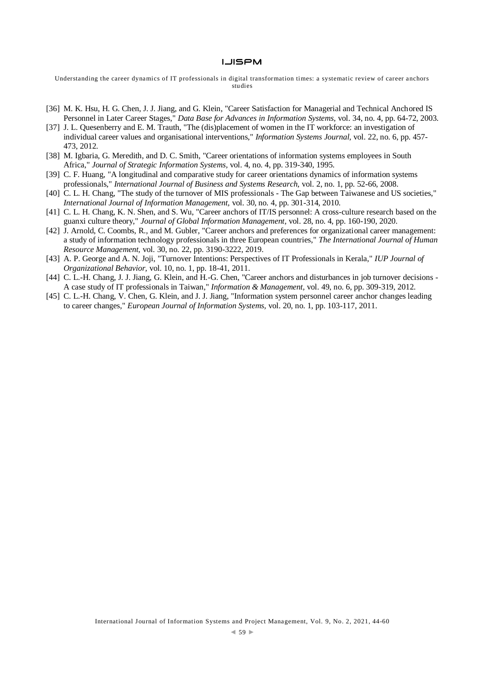Understanding the career dynamics of IT professionals in digital transformation times: a systematic review of career anchors studies

- [36] M. K. Hsu, H. G. Chen, J. J. Jiang, and G. Klein, "Career Satisfaction for Managerial and Technical Anchored IS Personnel in Later Career Stages," *Data Base for Advances in Information Systems,* vol. 34, no. 4, pp. 64-72, 2003.
- [37] J. L. Quesenberry and E. M. Trauth, "The (dis)placement of women in the IT workforce: an investigation of individual career values and organisational interventions," *Information Systems Journal,* vol. 22, no. 6, pp. 457- 473, 2012.
- [38] M. Igbaria, G. Meredith, and D. C. Smith, "Career orientations of information systems employees in South Africa," *Journal of Strategic Information Systems,* vol. 4, no. 4, pp. 319-340, 1995.
- [39] C. F. Huang, "A longitudinal and comparative study for career orientations dynamics of information systems professionals," *International Journal of Business and Systems Research,* vol. 2, no. 1, pp. 52-66, 2008.
- [40] C. L. H. Chang, "The study of the turnover of MIS professionals The Gap between Taiwanese and US societies," *International Journal of Information Management,* vol. 30, no. 4, pp. 301-314, 2010.
- [41] C. L. H. Chang, K. N. Shen, and S. Wu, "Career anchors of IT/IS personnel: A cross-culture research based on the guanxi culture theory," *Journal of Global Information Management,* vol. 28, no. 4, pp. 160-190, 2020.
- [42] J. Arnold, C. Coombs, R., and M. Gubler, "Career anchors and preferences for organizational career management: a study of information technology professionals in three European countries," *The International Journal of Human Resource Management,* vol. 30, no. 22, pp. 3190-3222, 2019.
- [43] A. P. George and A. N. Joji, "Turnover Intentions: Perspectives of IT Professionals in Kerala," *IUP Journal of Organizational Behavior,* vol. 10, no. 1, pp. 18-41, 2011.
- [44] C. L.-H. Chang, J. J. Jiang, G. Klein, and H.-G. Chen, "Career anchors and disturbances in job turnover decisions -A case study of IT professionals in Taiwan," *Information & Management,* vol. 49, no. 6, pp. 309-319, 2012.
- [45] C. L.-H. Chang, V. Chen, G. Klein, and J. J. Jiang, "Information system personnel career anchor changes leading to career changes," *European Journal of Information Systems,* vol. 20, no. 1, pp. 103-117, 2011.